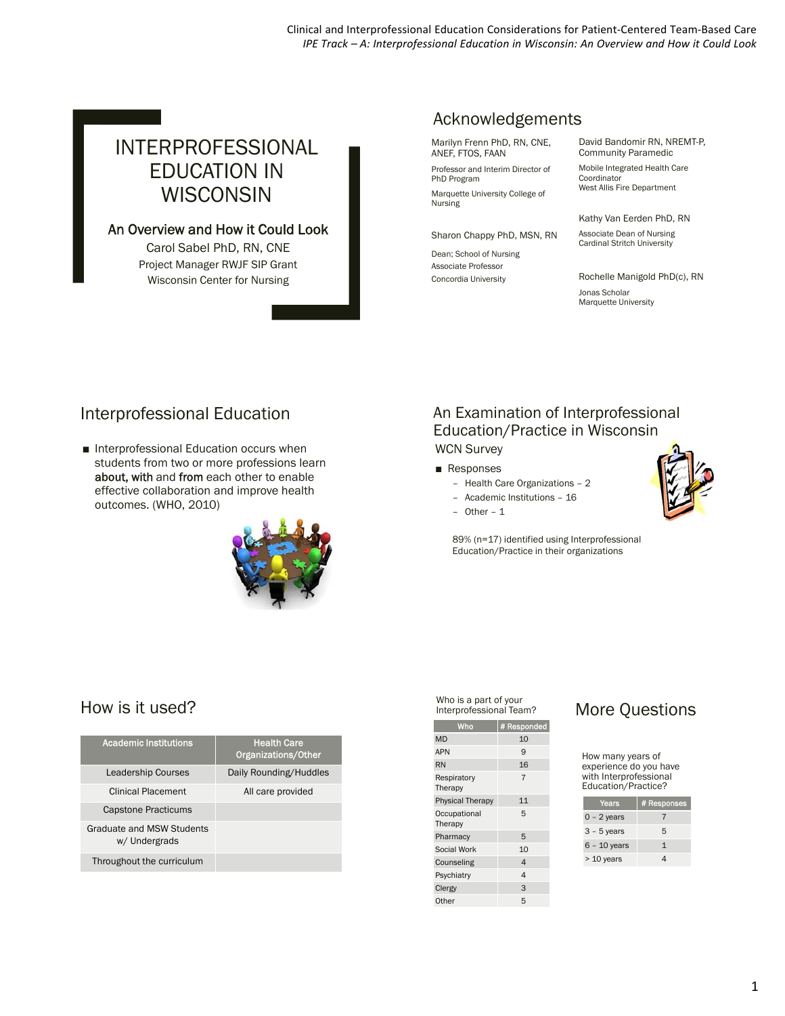Clinical and Interprofessional Education Considerations for Patient‐Centered Team‐Based Care *IPE Track – A: Interprofessional Education in Wisconsin: An Overview and How it Could Look*

# INTERPROFESSIONAL EDUCATION IN **WISCONSIN**

### An Overview and How it Could Look

Carol Sabel PhD, RN, CNE Project Manager RWJF SIP Grant Wisconsin Center for Nursing

### Acknowledgements

Marilyn Frenn PhD, RN, CNE, ANEF, FTOS, FAAN

Professor and Interim Director of PhD Program Marquette University College of Nursing

Sharon Chappy PhD, MSN, RN

Dean; School of Nursing Associate Professor Concordia University

David Bandomir RN, NREMT-P, Community Paramedic

Mobile Integrated Health Care Coordinator West Allis Fire Department

Kathy Van Eerden PhD, RN

Associate Dean of Nursing Cardinal Stritch University

Rochelle Manigold PhD(c), RN Jonas Scholar Marquette University

### Interprofessional Education

■ Interprofessional Education occurs when students from two or more professions learn about, with and from each other to enable effective collaboration and improve health outcomes. (WHO, 2010)



### An Examination of Interprofessional Education/Practice in Wisconsin WCN Survey

#### ■ Responses

- Health Care Organizations 2
- Academic Institutions 16
- Other 1

89% (n=17) identified using Interprofessional Education/Practice in their organizations

## How is it used?

| Academic Institutions                      | <b>Health Care</b><br>Organizations/Other |  |  |  |  |  |
|--------------------------------------------|-------------------------------------------|--|--|--|--|--|
| <b>Leadership Courses</b>                  | Daily Rounding/Huddles                    |  |  |  |  |  |
| Clinical Placement                         | All care provided                         |  |  |  |  |  |
| <b>Capstone Practicums</b>                 |                                           |  |  |  |  |  |
| Graduate and MSW Students<br>w/ Undergrads |                                           |  |  |  |  |  |
| Throughout the curriculum                  |                                           |  |  |  |  |  |

Interprofessional Team?

| # Responded    |  |  |  |  |  |
|----------------|--|--|--|--|--|
| 10             |  |  |  |  |  |
| 9              |  |  |  |  |  |
| 16             |  |  |  |  |  |
| $\overline{7}$ |  |  |  |  |  |
| 11             |  |  |  |  |  |
| 5              |  |  |  |  |  |
| 5              |  |  |  |  |  |
| 10             |  |  |  |  |  |
| 4              |  |  |  |  |  |
| 4              |  |  |  |  |  |
| 3              |  |  |  |  |  |
| 5              |  |  |  |  |  |
|                |  |  |  |  |  |

# Who is a part of your<br>Interprofessional Team? More Questions

How many years of experience do you have with Interprofessional Education/Practice?

| Years          | # Responses |
|----------------|-------------|
| $0 - 2$ years  |             |
| $3 - 5$ years  | 5           |
| $6 - 10$ years | 1           |
| > 10 years     |             |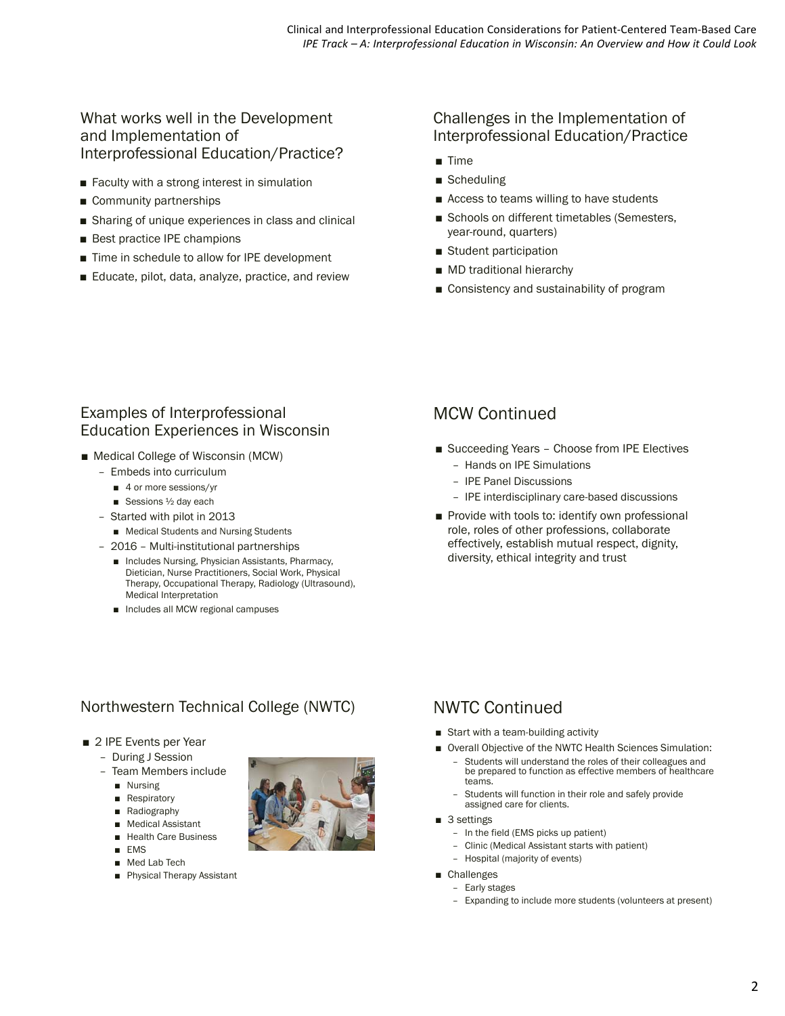### What works well in the Development and Implementation of Interprofessional Education/Practice?

- Faculty with a strong interest in simulation
- Community partnerships
- Sharing of unique experiences in class and clinical
- Best practice IPE champions
- Time in schedule to allow for IPE development
- Educate, pilot, data, analyze, practice, and review

### Challenges in the Implementation of Interprofessional Education/Practice

- Time
- Scheduling
- Access to teams willing to have students
- Schools on different timetables (Semesters, year-round, quarters)
- Student participation
- MD traditional hierarchy
- Consistency and sustainability of program

### Examples of Interprofessional Education Experiences in Wisconsin

- Medical College of Wisconsin (MCW)
	- Embeds into curriculum
		- 4 or more sessions/yr
		- Sessions ½ day each
	- Started with pilot in 2013
		- Medical Students and Nursing Students
	- 2016 Multi-institutional partnerships
		- Includes Nursing, Physician Assistants, Pharmacy, Dietician, Nurse Practitioners, Social Work, Physical Therapy, Occupational Therapy, Radiology (Ultrasound), Medical Interpretation
		- Includes all MCW regional campuses

# MCW Continued

- Succeeding Years Choose from IPE Electives
	- Hands on IPE Simulations
	- IPE Panel Discussions
	- IPE interdisciplinary care-based discussions
- Provide with tools to: identify own professional role, roles of other professions, collaborate effectively, establish mutual respect, dignity, diversity, ethical integrity and trust

# Northwestern Technical College (NWTC)

- 2 IPE Events per Year
- During J Session
	- Team Members include
		- Nursing
		- Respiratory
		- Radiography
		- Medical Assistant
		- Health Care Business
		- EMS
		- Med Lab Tech
		- Physical Therapy Assistant



# NWTC Continued

- Start with a team-building activity
- Overall Objective of the NWTC Health Sciences Simulation:
	- Students will understand the roles of their colleagues and be prepared to function as effective members of healthcare teams.
	- Students will function in their role and safely provide assigned care for clients.
- 3 settings
	- In the field (EMS picks up patient)
	- Clinic (Medical Assistant starts with patient)
	- Hospital (majority of events)
- Challenges
	- Early stages
	- Expanding to include more students (volunteers at present)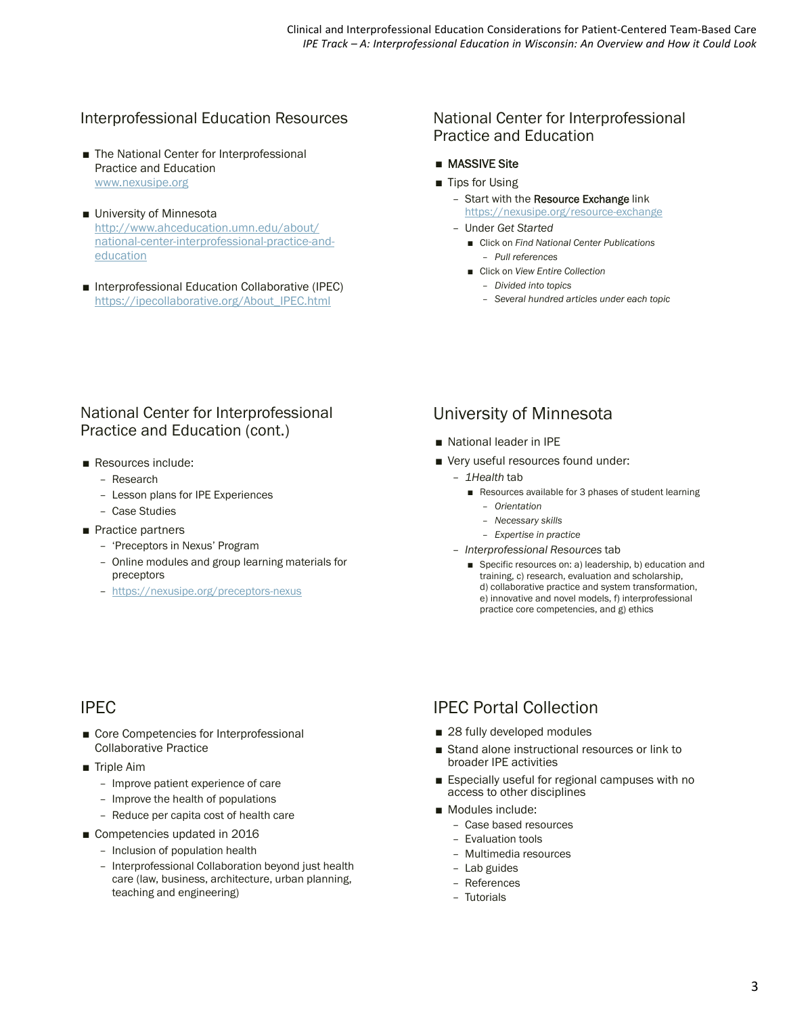### Interprofessional Education Resources

- The National Center for Interprofessional Practice and Education www.nexusipe.org
- University of Minnesota http://www.ahceducation.umn.edu/about/ national-center-interprofessional-practice-andeducation
- Interprofessional Education Collaborative (IPEC) https://ipecollaborative.org/About\_IPEC.html

### National Center for Interprofessional Practice and Education

#### ■ MASSIVE Site

- Tips for Using
	- Start with the Resource Exchange link https://nexusipe.org/resource-exchange
	- Under *Get Started*
		- Click on *Find National Center Publications* – *Pull references*
		- Click on *View Entire Collection*
			- *Divided into topics*
			- *Several hundred articles under each topic*

### National Center for Interprofessional Practice and Education (cont.)

- Resources include:
	- Research
	- Lesson plans for IPE Experiences
	- Case Studies
- Practice partners
	- 'Preceptors in Nexus' Program
	- Online modules and group learning materials for preceptors
	- https://nexusipe.org/preceptors-nexus

# IPEC

- Core Competencies for Interprofessional Collaborative Practice
- Triple Aim
	- Improve patient experience of care
	- Improve the health of populations
	- Reduce per capita cost of health care
- Competencies updated in 2016
	- Inclusion of population health
	- Interprofessional Collaboration beyond just health care (law, business, architecture, urban planning, teaching and engineering)

### University of Minnesota

- National leader in IPE
- Very useful resources found under:
	- *1Health* tab
		- Resources available for 3 phases of student learning – *Orientation*
			- *Necessary skills*
			- *Expertise in practice*
	- *Interprofessional Resources* tab
		- Specific resources on: a) leadership, b) education and training, c) research, evaluation and scholarship, d) collaborative practice and system transformation, e) innovative and novel models, f) interprofessional practice core competencies, and g) ethics

# IPEC Portal Collection

- 28 fully developed modules
- Stand alone instructional resources or link to broader IPE activities
- Especially useful for regional campuses with no access to other disciplines
- Modules include:
	- Case based resources
	- Evaluation tools
	- Multimedia resources
	- Lab guides
	- References
	- Tutorials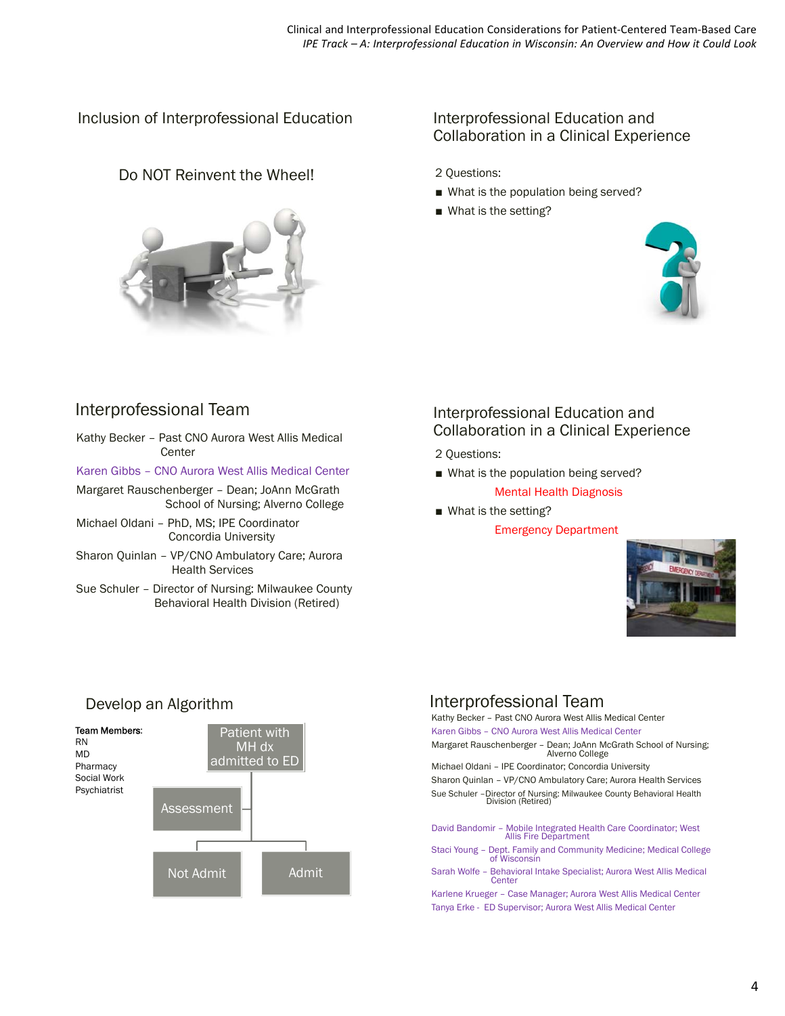Inclusion of Interprofessional Education

### Do NOT Reinvent the Wheel!



### Interprofessional Education and Collaboration in a Clinical Experience

2 Questions:

- What is the population being served?
- What is the setting?



## Interprofessional Team

- Kathy Becker Past CNO Aurora West Allis Medical Center
- Karen Gibbs CNO Aurora West Allis Medical Center
- Margaret Rauschenberger Dean; JoAnn McGrath School of Nursing; Alverno College
- Michael Oldani PhD, MS; IPE Coordinator Concordia University
- Sharon Quinlan VP/CNO Ambulatory Care; Aurora Health Services
- Sue Schuler Director of Nursing: Milwaukee County Behavioral Health Division (Retired)

### Interprofessional Education and Collaboration in a Clinical Experience

2 Questions:

- What is the population being served? Mental Health Diagnosis
- What is the setting?

Emergency Department



# Interprofessional Team

Kathy Becker – Past CNO Aurora West Allis Medical Center Karen Gibbs – CNO Aurora West Allis Medical Center

Margaret Rauschenberger – Dean; JoAnn McGrath School of Nursing; Alverno College

Michael Oldani – IPE Coordinator; Concordia University Sharon Quinlan – VP/CNO Ambulatory Care; Aurora Health Services Sue Schuler –Director of Nursing: Milwaukee County Behavioral Health Division (Retired)

David Bandomir – Mobile Integrated Health Care Coordinator; West Allis Fire Department Staci Young – Dept. Family and Community Medicine; Medical College of Wisconsin Sarah Wolfe – Behavioral Intake Specialist; Aurora West Allis Medical Center

Karlene Krueger – Case Manager; Aurora West Allis Medical Center Tanya Erke - ED Supervisor; Aurora West Allis Medical Center

# Develop an Algorithm